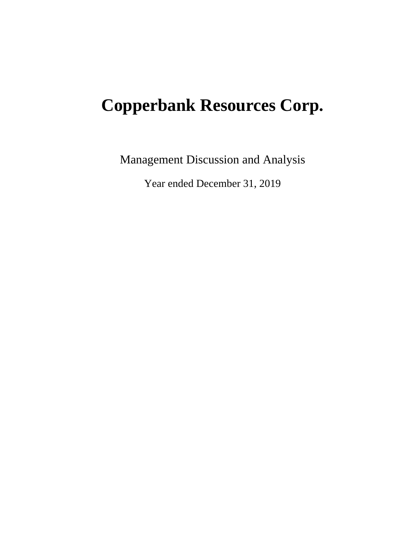# **Copperbank Resources Corp.**

Management Discussion and Analysis

Year ended December 31, 2019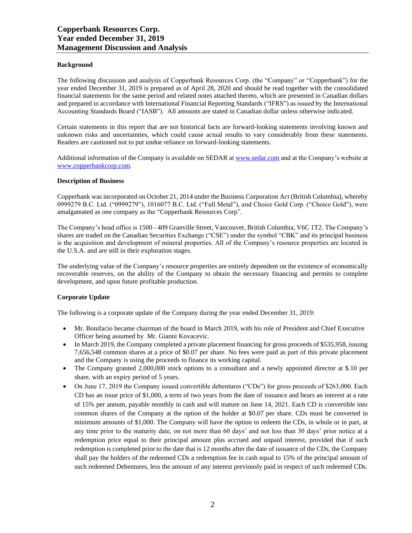# **Background**

The following discussion and analysis of Copperbank Resources Corp. (the "Company" or "Copperbank") for the year ended December 31, 2019 is prepared as of April 28, 2020 and should be read together with the consolidated financial statements for the same period and related notes attached thereto, which are presented in Canadian dollars and prepared in accordance with International Financial Reporting Standards ("IFRS") as issued by the International Accounting Standards Board ("IASB"). All amounts are stated in Canadian dollar unless otherwise indicated.

Certain statements in this report that are not historical facts are forward-looking statements involving known and unknown risks and uncertainties, which could cause actual results to vary considerably from these statements. Readers are cautioned not to put undue reliance on forward-looking statements.

Additional information of the Company is available on SEDAR at [www.sedar.com](http://www.sedar.com/) and at the Company's website at [www.copperbankcorp.com.](http://www.copperbankcorp.com/) 

# **Description of Business**

Copperbank was incorporated on October 21, 2014 under the Business Corporation Act (British Columbia), whereby 0999279 B.C. Ltd. ("0999279"), 1016077 B.C. Ltd. ("Full Metal"), and Choice Gold Corp. ("Choice Gold"), were amalgamated as one company as the "Copperbank Resources Corp".

The Company's head office is 1500 - 409 Granville Street, Vancouver, British Columbia, V6C 1T2. The Company's shares are traded on the Canadian Securities Exchange ("CSE") under the symbol "CBK" and its principal business is the acquisition and development of mineral properties. All of the Company's resource properties are located in the U.S.A. and are still in their exploration stages.

The underlying value of the Company's resource properties are entirely dependent on the existence of economically recoverable reserves, on the ability of the Company to obtain the necessary financing and permits to complete development, and upon future profitable production.

# **Corporate Update**

The following is a corporate update of the Company during the year ended December 31, 2019:

- Mr. Bonifacio became chairman of the board in March 2019, with his role of President and Chief Executive Officer being assumed by Mr. Gianni Kovacevic.
- In March 2019, the Company completed a private placement financing for gross proceeds of \$535,958, issuing 7,656,548 common shares at a price of \$0.07 per share. No fees were paid as part of this private placement and the Company is using the proceeds to finance its working capital.
- The Company granted 2,000,000 stock options to a consultant and a newly appointed director at \$.10 per share, with an expiry period of 5 years.
- On June 17, 2019 the Company issued convertible debentures ("CDs") for gross proceeds of \$263,000. Each CD has an issue price of \$1,000, a term of two years from the date of issuance and bears an interest at a rate of 15% per annum, payable monthly in cash and will mature on June 14, 2021. Each CD is convertible into common shares of the Company at the option of the holder at \$0.07 per share. CDs must be converted in minimum amounts of \$1,000. The Company will have the option to redeem the CDs, in whole or in part, at any time prior to the maturity date, on not more than 60 days' and not less than 30 days' prior notice at a redemption price equal to their principal amount plus accrued and unpaid interest, provided that if such redemption is completed prior to the date that is 12 months after the date of issuance of the CDs, the Company shall pay the holders of the redeemed CDs a redemption fee in cash equal to 15% of the principal amount of such redeemed Debentures, less the amount of any interest previously paid in respect of such redeemed CDs.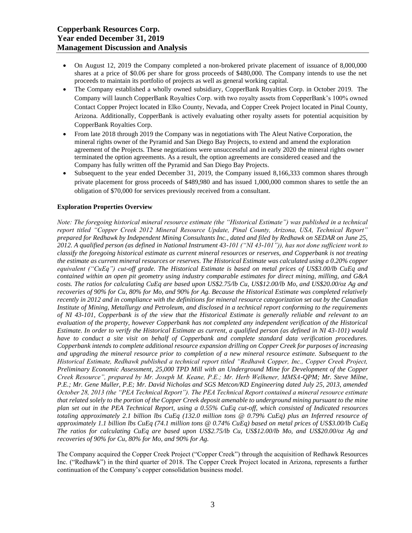- On August 12, 2019 the Company completed a non-brokered private placement of issuance of 8,000,000 shares at a price of \$0.06 per share for gross proceeds of \$480,000. The Company intends to use the net proceeds to maintain its portfolio of projects as well as general working capital.
- The Company established a wholly owned subsidiary, CopperBank Royalties Corp. in October 2019. The Company will launch CopperBank Royalties Corp. with two royalty assets from CopperBank's 100% owned Contact Copper Project located in Elko County, Nevada, and Copper Creek Project located in Pinal County, Arizona. Additionally, CopperBank is actively evaluating other royalty assets for potential acquisition by CopperBank Royalties Corp.
- From late 2018 through 2019 the Company was in negotiations with The Aleut Native Corporation, the mineral rights owner of the Pyramid and San Diego Bay Projects, to extend and amend the exploration agreement of the Projects. These negotiations were unsuccessful and in early 2020 the mineral rights owner terminated the option agreements. As a result, the option agreements are considered ceased and the Company has fully written off the Pyramid and San Diego Bay Projects.
- Subsequent to the year ended December 31, 2019, the Company issued 8,166,333 common shares through private placement for gross proceeds of \$489,980 and has issued 1,000,000 common shares to settle the an obligation of \$70,000 for services previously received from a consultant.

# **Exploration Properties Overview**

*Note: The foregoing historical mineral resource estimate (the "Historical Estimate") was published in a technical report titled "Copper Creek 2012 Mineral Resource Update, Pinal County, Arizona, USA, Technical Report" prepared for Redhawk by Independent Mining Consultants Inc., dated and filed by Redhawk on SEDAR on June 25, 2012. A qualified person (as defined in National Instrument 43-101 ("NI 43-101")), has not done sufficient work to classify the foregoing historical estimate as current mineral resources or reserves, and Copperbank is not treating the estimate as current mineral resources or reserves. The Historical Estimate was calculated using a 0.20% copper equivalent ("CuEq") cut-off grade. The Historical Estimate is based on metal prices of US\$3.00/lb CuEq and contained within an open pit geometry using industry comparable estimates for direct mining, milling, and G&A costs. The ratios for calculating CuEq are based upon US\$2.75/lb Cu, US\$12.00/lb Mo, and US\$20.00/oz Ag and recoveries of 90% for Cu, 80% for Mo, and 90% for Ag. Because the Historical Estimate was completed relatively recently in 2012 and in compliance with the definitions for mineral resource categorization set out by the Canadian Institute of Mining, Metallurgy and Petroleum, and disclosed in a technical report conforming to the requirements of NI 43-101, Copperbank is of the view that the Historical Estimate is generally reliable and relevant to an evaluation of the property, however Copperbank has not completed any independent verification of the Historical Estimate. In order to verify the Historical Estimate as current, a qualified person (as defined in NI 43-101) would have to conduct a site visit on behalf of Copperbank and complete standard data verification procedures. Copperbank intends to complete additional resource expansion drilling on Copper Creek for purposes of increasing and upgrading the mineral resource prior to completion of a new mineral resource estimate. Subsequent to the Historical Estimate, Redhawk published a technical report titled "Redhawk Copper, Inc., Copper Creek Project, Preliminary Economic Assessment, 25,000 TPD Mill with an Underground Mine for Development of the Copper Creek Resource", prepared by Mr. Joseph M. Keane, P.E.; Mr. Herb Welhener, MMSA-QPM; Mr. Steve Milne, P.E.; Mr. Gene Muller, P.E; Mr. David Nicholas and SGS Metcon/KD Engineering dated July 25, 2013, amended October 28, 2013 (the "PEA Technical Report"). The PEA Technical Report contained a mineral resource estimate that related solely to the portion of the Copper Creek deposit amenable to underground mining pursuant to the mine plan set out in the PEA Technical Report, using a 0.55% CuEq cut-off, which consisted of Indicated resources totaling approximately 2.1 billion lbs CuEq (132.0 million tons @ 0.79% CuEq) plus an Inferred resource of approximately 1.1 billion lbs CuEq (74.1 million tons @ 0.74% CuEq) based on metal prices of US\$3.00/lb CuEq The ratios for calculating CuEq are based upon US\$2.75/lb Cu, US\$12.00/lb Mo, and US\$20.00/oz Ag and recoveries of 90% for Cu, 80% for Mo, and 90% for Ag.*

The Company acquired the Copper Creek Project ("Copper Creek") through the acquisition of Redhawk Resources Inc. ("Redhawk") in the third quarter of 2018. The Copper Creek Project located in Arizona, represents a further continuation of the Company's copper consolidation business model.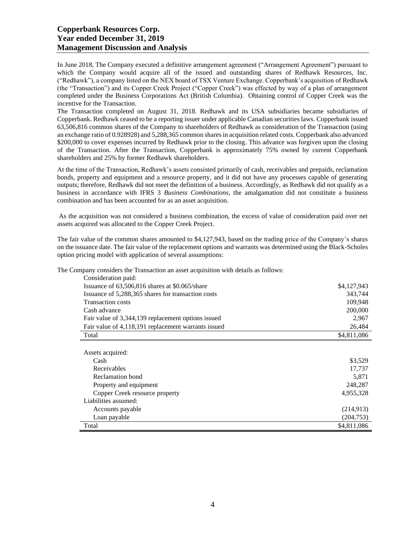In June 2018, The Company executed a definitive arrangement agreement ("Arrangement Agreement") pursuant to which the Company would acquire all of the issued and outstanding shares of Redhawk Resources, Inc. ("Redhawk"), a company listed on the NEX board of TSX Venture Exchange. Copperbank's acquisition of Redhawk (the "Transaction") and its Copper Creek Project ("Copper Creek") was effected by way of a plan of arrangement completed under the Business Corporations Act (British Columbia). Obtaining control of Copper Creek was the incentive for the Transaction.

The Transaction completed on August 31, 2018. Redhawk and its USA subsidiaries became subsidiaries of Copperbank. Redhawk ceased to be a reporting issuer under applicable Canadian securities laws. Copperbank issued 63,506,816 common shares of the Company to shareholders of Redhawk as consideration of the Transaction (using an exchange ratio of 0.928928) and 5,288,365 common shares in acquisition related costs. Copperbank also advanced \$200,000 to cover expenses incurred by Redhawk prior to the closing. This advance was forgiven upon the closing of the Transaction. After the Transaction, Copperbank is approximately 75% owned by current Copperbank shareholders and 25% by former Redhawk shareholders.

At the time of the Transaction, Redhawk's assets consisted primarily of cash, receivables and prepaids, reclamation bonds, property and equipment and a resource property, and it did not have any processes capable of generating outputs; therefore, Redhawk did not meet the definition of a business. Accordingly, as Redhawk did not qualify as a business in accordance with IFRS 3 *Business Combinations*, the amalgamation did not constitute a business combination and has been accounted for as an asset acquisition.

As the acquisition was not considered a business combination, the excess of value of consideration paid over net assets acquired was allocated to the Copper Creek Project.

The fair value of the common shares amounted to \$4,127,943, based on the trading price of the Company's shares on the issuance date. The fair value of the replacement options and warrants was determined using the Black-Scholes option pricing model with application of several assumptions:

The Company considers the Transaction an asset acquisition with details as follows:

| Consideration paid:                                 |             |
|-----------------------------------------------------|-------------|
| Issuance of 63,506,816 shares at \$0.065/share      | \$4,127,943 |
| Issuance of 5,288,365 shares for transaction costs  | 343.744     |
| <b>Transaction costs</b>                            | 109,948     |
| Cash advance                                        | 200,000     |
| Fair value of 3,344,139 replacement options issued  | 2,967       |
| Fair value of 4,118,191 replacement warrants issued | 26,484      |
| Total                                               | \$4,811,086 |
|                                                     |             |
| Assets acquired:                                    |             |

| Cash                           | \$3,529     |
|--------------------------------|-------------|
| Receivables                    | 17,737      |
| Reclamation bond               | 5,871       |
| Property and equipment         | 248,287     |
| Copper Creek resource property | 4,955,328   |
| Liabilities assumed:           |             |
| Accounts payable               | (214, 913)  |
| Loan payable                   | (204, 753)  |
| Total                          | \$4,811,086 |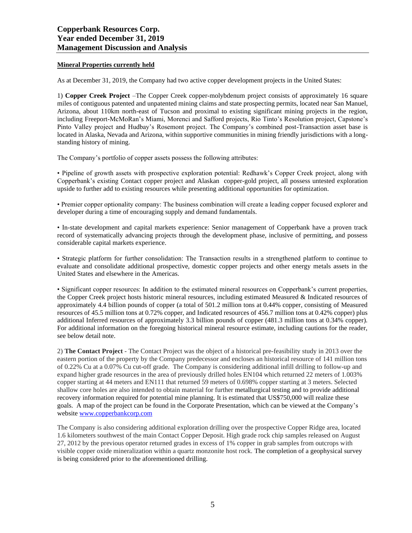# **Mineral Properties currently held**

As at December 31, 2019, the Company had two active copper development projects in the United States:

1) **Copper Creek Project** –The Copper Creek copper-molybdenum project consists of approximately 16 square miles of contiguous patented and unpatented mining claims and state prospecting permits, located near San Manuel, Arizona, about 110km north-east of Tucson and proximal to existing significant mining projects in the region, including Freeport-McMoRan's Miami, Morenci and Safford projects, Rio Tinto's Resolution project, Capstone's Pinto Valley project and Hudbay's Rosemont project. The Company's combined post-Transaction asset base is located in Alaska, Nevada and Arizona, within supportive communities in mining friendly jurisdictions with a longstanding history of mining.

The Company's portfolio of copper assets possess the following attributes:

• Pipeline of growth assets with prospective exploration potential: Redhawk's Copper Creek project, along with Copperbank's existing Contact copper project and Alaskan copper-gold project, all possess untested exploration upside to further add to existing resources while presenting additional opportunities for optimization.

• Premier copper optionality company: The business combination will create a leading copper focused explorer and developer during a time of encouraging supply and demand fundamentals.

• In-state development and capital markets experience: Senior management of Copperbank have a proven track record of systematically advancing projects through the development phase, inclusive of permitting, and possess considerable capital markets experience.

• Strategic platform for further consolidation: The Transaction results in a strengthened platform to continue to evaluate and consolidate additional prospective, domestic copper projects and other energy metals assets in the United States and elsewhere in the Americas.

• Significant copper resources: In addition to the estimated mineral resources on Copperbank's current properties, the Copper Creek project hosts historic mineral resources, including estimated Measured & Indicated resources of approximately 4.4 billion pounds of copper (a total of 501.2 million tons at 0.44% copper, consisting of Measured resources of 45.5 million tons at 0.72% copper, and Indicated resources of 456.7 million tons at 0.42% copper) plus additional Inferred resources of approximately 3.3 billion pounds of copper (481.3 million tons at 0.34% copper). For additional information on the foregoing historical mineral resource estimate, including cautions for the reader, see below detail note.

2) **The Contact Project** - The Contact Project was the object of a historical pre-feasibility study in 2013 over the eastern portion of the property by the Company predecessor and encloses an historical resource of 141 million tons of 0.22% Cu at a 0.07% Cu cut-off grade. The Company is considering additional infill drilling to follow-up and expand higher grade resources in the area of previously drilled holes EN104 which returned 22 meters of 1.003% copper starting at 44 meters and EN111 that returned 59 meters of 0.698% copper starting at 3 meters. Selected shallow core holes are also intended to obtain material for further metallurgical testing and to provide additional recovery information required for potential mine planning. It is estimated that US\$750,000 will realize these goals. A map of the project can be found in the Corporate Presentation, which can be viewed at the Company's website [www.copperbankcorp.com](http://www.copperbankcorp.com/)

The Company is also considering additional exploration drilling over the prospective Copper Ridge area, located 1.6 kilometers southwest of the main Contact Copper Deposit. High grade rock chip samples released on August 27, 2012 by the previous operator returned grades in excess of 1% copper in grab samples from outcrops with visible copper oxide mineralization within a quartz monzonite host rock. The completion of a geophysical survey is being considered prior to the aforementioned drilling.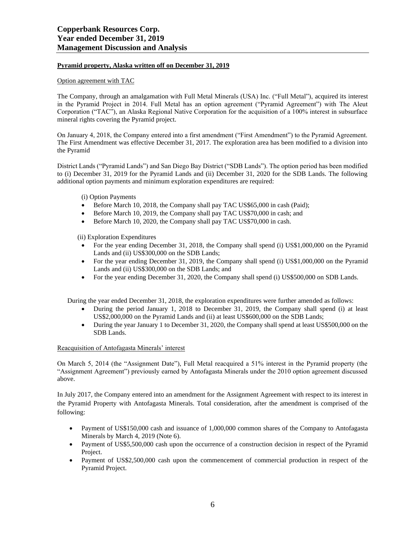# **Pyramid property, Alaska written off on December 31, 2019**

# Option agreement with TAC

The Company, through an amalgamation with Full Metal Minerals (USA) Inc. ("Full Metal"), acquired its interest in the Pyramid Project in 2014. Full Metal has an option agreement ("Pyramid Agreement") with The Aleut Corporation ("TAC"), an Alaska Regional Native Corporation for the acquisition of a 100% interest in subsurface mineral rights covering the Pyramid project.

On January 4, 2018, the Company entered into a first amendment ("First Amendment") to the Pyramid Agreement. The First Amendment was effective December 31, 2017. The exploration area has been modified to a division into the Pyramid

District Lands ("Pyramid Lands") and San Diego Bay District ("SDB Lands"). The option period has been modified to (i) December 31, 2019 for the Pyramid Lands and (ii) December 31, 2020 for the SDB Lands. The following additional option payments and minimum exploration expenditures are required:

# (i) Option Payments

- Before March 10, 2018, the Company shall pay TAC US\$65,000 in cash (Paid);
- Before March 10, 2019, the Company shall pay TAC US\$70,000 in cash; and
- Before March 10, 2020, the Company shall pay TAC US\$70,000 in cash.

(ii) Exploration Expenditures

- For the year ending December 31, 2018, the Company shall spend (i) US\$1,000,000 on the Pyramid Lands and (ii) US\$300,000 on the SDB Lands;
- For the year ending December 31, 2019, the Company shall spend (i) US\$1,000,000 on the Pyramid Lands and (ii) US\$300,000 on the SDB Lands; and
- For the year ending December 31, 2020, the Company shall spend (i) US\$500,000 on SDB Lands.

During the year ended December 31, 2018, the exploration expenditures were further amended as follows:

- During the period January 1, 2018 to December 31, 2019, the Company shall spend (i) at least US\$2,000,000 on the Pyramid Lands and (ii) at least US\$600,000 on the SDB Lands;
- During the year January 1 to December 31, 2020, the Company shall spend at least US\$500,000 on the SDB Lands.

# Reacquisition of Antofagasta Minerals' interest

On March 5, 2014 (the "Assignment Date"), Full Metal reacquired a 51% interest in the Pyramid property (the "Assignment Agreement") previously earned by Antofagasta Minerals under the 2010 option agreement discussed above.

In July 2017, the Company entered into an amendment for the Assignment Agreement with respect to its interest in the Pyramid Property with Antofagasta Minerals. Total consideration, after the amendment is comprised of the following:

- Payment of US\$150,000 cash and issuance of 1,000,000 common shares of the Company to Antofagasta Minerals by March 4, 2019 (Note 6).
- Payment of US\$5,500,000 cash upon the occurrence of a construction decision in respect of the Pyramid Project.
- Payment of US\$2,500,000 cash upon the commencement of commercial production in respect of the Pyramid Project.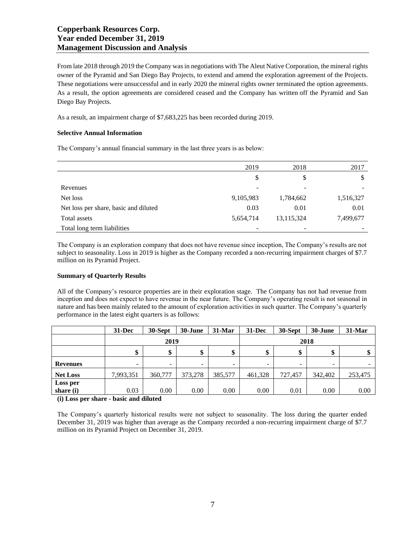From late 2018 through 2019 the Company wasin negotiations with The Aleut Native Corporation, the mineral rights owner of the Pyramid and San Diego Bay Projects, to extend and amend the exploration agreement of the Projects. These negotiations were unsuccessful and in early 2020 the mineral rights owner terminated the option agreements. As a result, the option agreements are considered ceased and the Company has written off the Pyramid and San Diego Bay Projects.

As a result, an impairment charge of \$7,683,225 has been recorded during 2019.

# **Selective Annual Information**

The Company's annual financial summary in the last three years is as below:

|                                       | 2019      | 2018       | 2017      |
|---------------------------------------|-----------|------------|-----------|
|                                       | \$        | \$         | \$        |
| Revenues                              |           |            |           |
| Net loss                              | 9,105,983 | 1,784,662  | 1,516,327 |
| Net loss per share, basic and diluted | 0.03      | 0.01       | 0.01      |
| Total assets                          | 5,654,714 | 13,115,324 | 7,499,677 |
| Total long term liabilities           |           |            |           |

The Company is an exploration company that does not have revenue since inception, The Company's results are not subject to seasonality. Loss in 2019 is higher as the Company recorded a non-recurring impairment charges of \$7.7 million on its Pyramid Project.

# **Summary of Quarterly Results**

All of the Company's resource properties are in their exploration stage. The Company has not had revenue from inception and does not expect to have revenue in the near future. The Company's operating result is not seasonal in nature and has been mainly related to the amount of exploration activities in such quarter. The Company's quarterly performance in the latest eight quarters is as follows:

|                         | $31 - Dec$                       | 30-Sept | 30-June                  | $31-Mar$ | $31 - Dec$ | 30-Sept                  | 30-June                  | 31-Mar  |
|-------------------------|----------------------------------|---------|--------------------------|----------|------------|--------------------------|--------------------------|---------|
|                         | 2019                             |         |                          | 2018     |            |                          |                          |         |
|                         | ¢<br>D                           | \$      | Ф                        | \$       | \$         | \$                       |                          |         |
| <b>Revenues</b>         | $\overline{\phantom{0}}$         | -       | $\overline{\phantom{a}}$ | -        | -          | $\overline{\phantom{0}}$ | $\overline{\phantom{a}}$ | -       |
| <b>Net Loss</b>         | 7,993,351                        | 360,777 | 373,278                  | 385,577  | 461,328    | 727,457                  | 342,402                  | 253,475 |
| Loss per                |                                  |         |                          |          |            |                          |                          |         |
| share (i)               | 0.03                             | 0.00    | 0.00                     | 0.00     | 0.00       | 0.01                     | 0.00                     | 0.00    |
| $\sim$ $\sim$<br>$\sim$ | .<br>$\sim$ $\sim$ $\sim$ $\sim$ |         |                          |          |            |                          |                          |         |

**(i) Loss per share - basic and diluted**

The Company's quarterly historical results were not subject to seasonality. The loss during the quarter ended December 31, 2019 was higher than average as the Company recorded a non-recurring impairment charge of \$7.7 million on its Pyramid Project on December 31, 2019.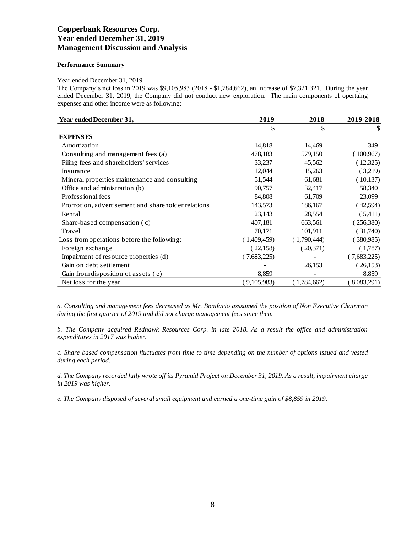## **Performance Summary**

#### Year ended December 31, 2019

The Company's net loss in 2019 was \$9,105,983 (2018 - \$1,784,662), an increase of \$7,321,321. During the year ended December 31, 2019, the Company did not conduct new exploration. The main components of opertaing expenses and other income were as following:

| Year ended December 31,                            | 2019        | 2018        | 2019-2018   |
|----------------------------------------------------|-------------|-------------|-------------|
|                                                    | \$          | \$          | \$          |
| <b>EXPENSES</b>                                    |             |             |             |
| Amortization                                       | 14,818      | 14,469      | 349         |
| Consulting and management fees (a)                 | 478,183     | 579,150     | (100, 967)  |
| Filing fees and shareholders' services             | 33,237      | 45,562      | (12,325)    |
| Insurance                                          | 12,044      | 15,263      | (3,219)     |
| Mineral properties maintenance and consulting      | 51,544      | 61,681      | (10,137)    |
| Office and administration (b)                      | 90,757      | 32,417      | 58,340      |
| Professional fees                                  | 84,808      | 61,709      | 23,099      |
| Promotion, advertisement and shareholder relations | 143,573     | 186,167     | (42,594)    |
| Rental                                             | 23,143      | 28,554      | (5,411)     |
| Share-based compensation (c)                       | 407,181     | 663,561     | (256,380)   |
| Travel                                             | 70,171      | 101,911     | 31,740)     |
| Loss from operations before the following:         | (1,409,459) | (1,790,444) | (380,985)   |
| Foreign exchange                                   | (22,158)    | (20,371)    | (1,787)     |
| Impairment of resource properties (d)              | (7,683,225) |             | (7,683,225) |
| Gain on debt settlement                            |             | 26,153      | (26, 153)   |
| Gain from disposition of assets (e)                | 8,859       |             | 8,859       |
| Net loss for the year                              | (9,105,983) | (1,784,662) | 8,083,291)  |

*a. Consulting and management fees decreased as Mr. Bonifacio asssumed the position of Non Executive Chairman during the first quarter of 2019 and did not charge management fees since then.*

*b. The Company acquired Redhawk Resources Corp. in late 2018. As a result the office and administration expenditures in 2017 was higher.*

*c. Share based compensation fluctuates from time to time depending on the number of options issued and vested during each period.*

*d. The Company recorded fully wrote off its Pyramid Project on December 31, 2019. As a result, impairment charge in 2019 was higher.* 

*e. The Company disposed of several small equipment and earned a one-time gain of \$8,859 in 2019.*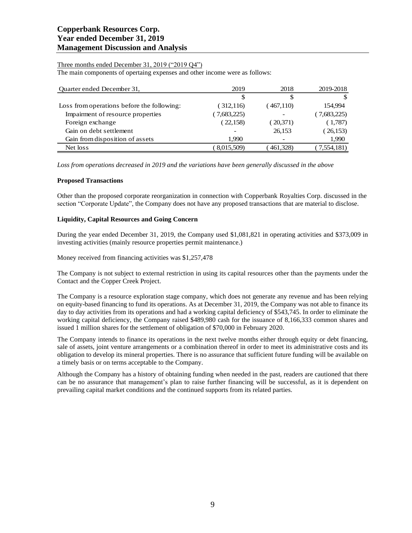# Three months ended December 31, 2019 ("2019 Q4")

The main components of opertaing expenses and other income were as follows:

| Quarter ended December 31,                 | 2019        | 2018      | 2019-2018   |
|--------------------------------------------|-------------|-----------|-------------|
|                                            | S           | S         |             |
| Loss from operations before the following: | (312, 116)  | (467,110) | 154.994     |
| Impairment of resource properties          | (7,683,225) |           | (7,683,225) |
| Foreign exchange                           | (22,158)    | (20,371)  | (1,787)     |
| Gain on debt settlement                    |             | 26,153    | (26, 153)   |
| Gain from disposition of assets            | 1.990       |           | 1,990       |
| Net loss                                   | 8,015,509)  | 461,328)  | 7,554,181)  |

*Loss from operations decreased in 2019 and the variations have been generally discussed in the above*

## **Proposed Transactions**

Other than the proposed corporate reorganization in connection with Copperbank Royalties Corp. discussed in the section "Corporate Update", the Company does not have any proposed transactions that are material to disclose.

## **Liquidity, Capital Resources and Going Concern**

During the year ended December 31, 2019, the Company used \$1,081,821 in operating activities and \$373,009 in investing activities (mainly resource properties permit maintenance.)

Money received from financing activities was \$1,257,478

The Company is not subject to external restriction in using its capital resources other than the payments under the Contact and the Copper Creek Project.

The Company is a resource exploration stage company, which does not generate any revenue and has been relying on equity-based financing to fund its operations. As at December 31, 2019, the Company was not able to finance its day to day activities from its operations and had a working capital deficiency of \$543,745. In order to eliminate the working capital deficiency, the Company raised \$489,980 cash for the issuance of 8,166,333 common shares and issued 1 million shares for the settlement of obligation of \$70,000 in February 2020.

The Company intends to finance its operations in the next twelve months either through equity or debt financing, sale of assets, joint venture arrangements or a combination thereof in order to meet its administrative costs and its obligation to develop its mineral properties. There is no assurance that sufficient future funding will be available on a timely basis or on terms acceptable to the Company.

Although the Company has a history of obtaining funding when needed in the past, readers are cautioned that there can be no assurance that management's plan to raise further financing will be successful, as it is dependent on prevailing capital market conditions and the continued supports from its related parties.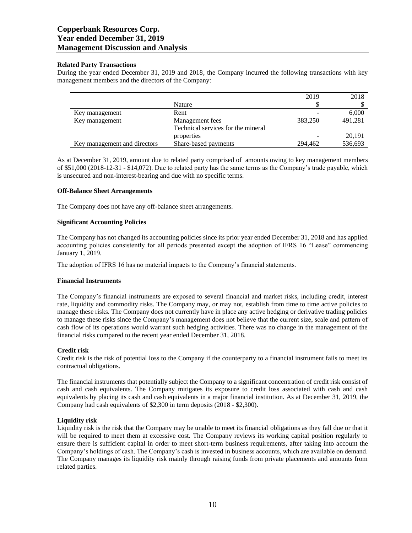## **Related Party Transactions**

During the year ended December 31, 2019 and 2018, the Company incurred the following transactions with key management members and the directors of the Company:

|                              |                                    | 2019    | 2018    |
|------------------------------|------------------------------------|---------|---------|
|                              | Nature                             |         |         |
| Key management               | Rent                               |         | 6,000   |
| Key management               | Management fees                    | 383.250 | 491,281 |
|                              | Technical services for the mineral |         |         |
|                              | properties                         |         | 20,191  |
| Key management and directors | Share-based payments               | 294,462 | 536,693 |

As at December 31, 2019, amount due to related party comprised of amounts owing to key management members of \$51,000 (2018-12-31 - \$14,072). Due to related party has the same terms as the Company's trade payable, which is unsecured and non-interest-bearing and due with no specific terms.

## **Off-Balance Sheet Arrangements**

The Company does not have any off-balance sheet arrangements.

## **Significant Accounting Policies**

The Company has not changed its accounting policies since its prior year ended December 31, 2018 and has applied accounting policies consistently for all periods presented except the adoption of IFRS 16 "Lease" commencing January 1, 2019.

The adoption of IFRS 16 has no material impacts to the Company's financial statements.

#### **Financial Instruments**

The Company's financial instruments are exposed to several financial and market risks, including credit, interest rate, liquidity and commodity risks. The Company may, or may not, establish from time to time active policies to manage these risks. The Company does not currently have in place any active hedging or derivative trading policies to manage these risks since the Company's management does not believe that the current size, scale and pattern of cash flow of its operations would warrant such hedging activities. There was no change in the management of the financial risks compared to the recent year ended December 31, 2018.

#### **Credit risk**

Credit risk is the risk of potential loss to the Company if the counterparty to a financial instrument fails to meet its contractual obligations.

The financial instruments that potentially subject the Company to a significant concentration of credit risk consist of cash and cash equivalents. The Company mitigates its exposure to credit loss associated with cash and cash equivalents by placing its cash and cash equivalents in a major financial institution. As at December 31, 2019, the Company had cash equivalents of \$2,300 in term deposits (2018 - \$2,300).

# **Liquidity risk**

Liquidity risk is the risk that the Company may be unable to meet its financial obligations as they fall due or that it will be required to meet them at excessive cost. The Company reviews its working capital position regularly to ensure there is sufficient capital in order to meet short-term business requirements, after taking into account the Company's holdings of cash. The Company's cash is invested in business accounts, which are available on demand. The Company manages its liquidity risk mainly through raising funds from private placements and amounts from related parties.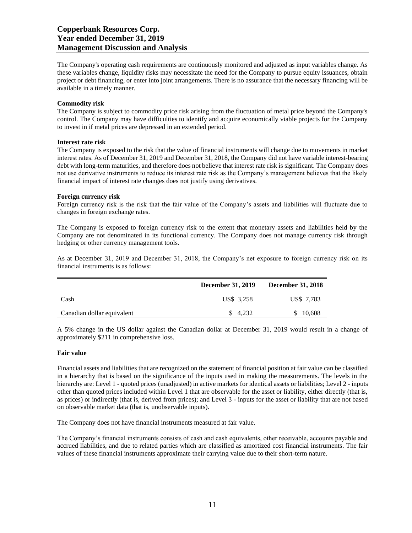The Company's operating cash requirements are continuously monitored and adjusted as input variables change. As these variables change, liquidity risks may necessitate the need for the Company to pursue equity issuances, obtain project or debt financing, or enter into joint arrangements. There is no assurance that the necessary financing will be available in a timely manner.

## **Commodity risk**

The Company is subject to commodity price risk arising from the fluctuation of metal price beyond the Company's control. The Company may have difficulties to identify and acquire economically viable projects for the Company to invest in if metal prices are depressed in an extended period.

## **Interest rate risk**

The Company is exposed to the risk that the value of financial instruments will change due to movements in market interest rates. As of December 31, 2019 and December 31, 2018, the Company did not have variable interest-bearing debt with long-term maturities, and therefore does not believe that interest rate risk is significant. The Company does not use derivative instruments to reduce its interest rate risk as the Company's management believes that the likely financial impact of interest rate changes does not justify using derivatives.

#### **Foreign currency risk**

Foreign currency risk is the risk that the fair value of the Company's assets and liabilities will fluctuate due to changes in foreign exchange rates.

The Company is exposed to foreign currency risk to the extent that monetary assets and liabilities held by the Company are not denominated in its functional currency. The Company does not manage currency risk through hedging or other currency management tools.

As at December 31, 2019 and December 31, 2018, the Company's net exposure to foreign currency risk on its financial instruments is as follows:

|                            | <b>December 31, 2019</b> | <b>December 31, 2018</b> |
|----------------------------|--------------------------|--------------------------|
| Cash                       | US\$ 3.258               | US\$ 7,783               |
| Canadian dollar equivalent | \$4.232                  | 10.608                   |

A 5% change in the US dollar against the Canadian dollar at December 31, 2019 would result in a change of approximately \$211 in comprehensive loss.

#### **Fair value**

Financial assets and liabilities that are recognized on the statement of financial position at fair value can be classified in a hierarchy that is based on the significance of the inputs used in making the measurements. The levels in the hierarchy are: Level 1 - quoted prices (unadjusted) in active markets for identical assets or liabilities; Level 2 - inputs other than quoted prices included within Level 1 that are observable for the asset or liability, either directly (that is, as prices) or indirectly (that is, derived from prices); and Level 3 - inputs for the asset or liability that are not based on observable market data (that is, unobservable inputs).

The Company does not have financial instruments measured at fair value.

The Company's financial instruments consists of cash and cash equivalents, other receivable, accounts payable and accrued liabilities, and due to related parties which are classified as amortized cost financial instruments. The fair values of these financial instruments approximate their carrying value due to their short-term nature.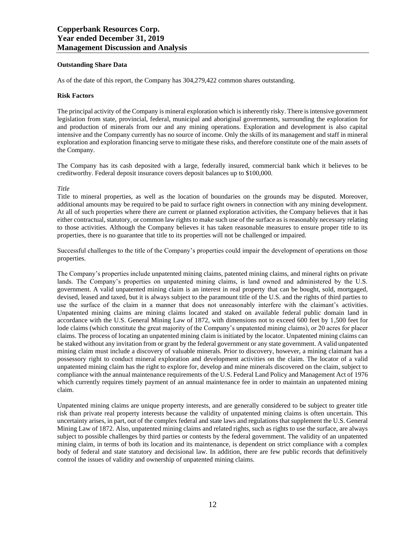## **Outstanding Share Data**

As of the date of this report, the Company has 304,279,422 common shares outstanding.

#### **Risk Factors**

The principal activity of the Company is mineral exploration which is inherently risky. There is intensive government legislation from state, provincial, federal, municipal and aboriginal governments, surrounding the exploration for and production of minerals from our and any mining operations. Exploration and development is also capital intensive and the Company currently has no source of income. Only the skills of its management and staff in mineral exploration and exploration financing serve to mitigate these risks, and therefore constitute one of the main assets of the Company.

The Company has its cash deposited with a large, federally insured, commercial bank which it believes to be creditworthy. Federal deposit insurance covers deposit balances up to \$100,000.

# *Title*

Title to mineral properties, as well as the location of boundaries on the grounds may be disputed. Moreover, additional amounts may be required to be paid to surface right owners in connection with any mining development. At all of such properties where there are current or planned exploration activities, the Company believes that it has either contractual, statutory, or common law rights to make such use of the surface as is reasonably necessary relating to those activities. Although the Company believes it has taken reasonable measures to ensure proper title to its properties, there is no guarantee that title to its properties will not be challenged or impaired.

Successful challenges to the title of the Company's properties could impair the development of operations on those properties.

The Company's properties include unpatented mining claims, patented mining claims, and mineral rights on private lands. The Company's properties on unpatented mining claims, is land owned and administered by the U.S. government. A valid unpatented mining claim is an interest in real property that can be bought, sold, mortgaged, devised, leased and taxed, but it is always subject to the paramount title of the U.S. and the rights of third parties to use the surface of the claim in a manner that does not unreasonably interfere with the claimant's activities. Unpatented mining claims are mining claims located and staked on available federal public domain land in accordance with the U.S. General Mining Law of 1872, with dimensions not to exceed 600 feet by 1,500 feet for lode claims (which constitute the great majority of the Company's unpatented mining claims), or 20 acres for placer claims. The process of locating an unpatented mining claim is initiated by the locator. Unpatented mining claims can be staked without any invitation from or grant by the federal government or any state government. A valid unpatented mining claim must include a discovery of valuable minerals. Prior to discovery, however, a mining claimant has a possessory right to conduct mineral exploration and development activities on the claim. The locator of a valid unpatented mining claim has the right to explore for, develop and mine minerals discovered on the claim, subject to compliance with the annual maintenance requirements of the U.S. Federal Land Policy and Management Act of 1976 which currently requires timely payment of an annual maintenance fee in order to maintain an unpatented mining claim.

Unpatented mining claims are unique property interests, and are generally considered to be subject to greater title risk than private real property interests because the validity of unpatented mining claims is often uncertain. This uncertainty arises, in part, out of the complex federal and state laws and regulations that supplement the U.S. General Mining Law of 1872. Also, unpatented mining claims and related rights, such as rights to use the surface, are always subject to possible challenges by third parties or contests by the federal government. The validity of an unpatented mining claim, in terms of both its location and its maintenance, is dependent on strict compliance with a complex body of federal and state statutory and decisional law. In addition, there are few public records that definitively control the issues of validity and ownership of unpatented mining claims.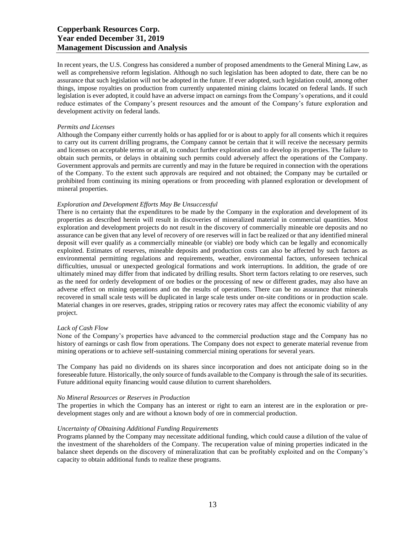In recent years, the U.S. Congress has considered a number of proposed amendments to the General Mining Law, as well as comprehensive reform legislation. Although no such legislation has been adopted to date, there can be no assurance that such legislation will not be adopted in the future. If ever adopted, such legislation could, among other things, impose royalties on production from currently unpatented mining claims located on federal lands. If such legislation is ever adopted, it could have an adverse impact on earnings from the Company's operations, and it could reduce estimates of the Company's present resources and the amount of the Company's future exploration and development activity on federal lands.

#### *Permits and Licenses*

Although the Company either currently holds or has applied for or is about to apply for all consents which it requires to carry out its current drilling programs, the Company cannot be certain that it will receive the necessary permits and licenses on acceptable terms or at all, to conduct further exploration and to develop its properties. The failure to obtain such permits, or delays in obtaining such permits could adversely affect the operations of the Company. Government approvals and permits are currently and may in the future be required in connection with the operations of the Company. To the extent such approvals are required and not obtained; the Company may be curtailed or prohibited from continuing its mining operations or from proceeding with planned exploration or development of mineral properties.

#### *Exploration and Development Efforts May Be Unsuccessful*

There is no certainty that the expenditures to be made by the Company in the exploration and development of its properties as described herein will result in discoveries of mineralized material in commercial quantities. Most exploration and development projects do not result in the discovery of commercially mineable ore deposits and no assurance can be given that any level of recovery of ore reserves will in fact be realized or that any identified mineral deposit will ever qualify as a commercially mineable (or viable) ore body which can be legally and economically exploited. Estimates of reserves, mineable deposits and production costs can also be affected by such factors as environmental permitting regulations and requirements, weather, environmental factors, unforeseen technical difficulties, unusual or unexpected geological formations and work interruptions. In addition, the grade of ore ultimately mined may differ from that indicated by drilling results. Short term factors relating to ore reserves, such as the need for orderly development of ore bodies or the processing of new or different grades, may also have an adverse effect on mining operations and on the results of operations. There can be no assurance that minerals recovered in small scale tests will be duplicated in large scale tests under on-site conditions or in production scale. Material changes in ore reserves, grades, stripping ratios or recovery rates may affect the economic viability of any project.

#### *Lack of Cash Flow*

None of the Company's properties have advanced to the commercial production stage and the Company has no history of earnings or cash flow from operations. The Company does not expect to generate material revenue from mining operations or to achieve self-sustaining commercial mining operations for several years.

The Company has paid no dividends on its shares since incorporation and does not anticipate doing so in the foreseeable future. Historically, the only source of funds available to the Company is through the sale of its securities. Future additional equity financing would cause dilution to current shareholders.

## *No Mineral Resources or Reserves in Production*

The properties in which the Company has an interest or right to earn an interest are in the exploration or predevelopment stages only and are without a known body of ore in commercial production.

#### *Uncertainty of Obtaining Additional Funding Requirements*

Programs planned by the Company may necessitate additional funding, which could cause a dilution of the value of the investment of the shareholders of the Company. The recuperation value of mining properties indicated in the balance sheet depends on the discovery of mineralization that can be profitably exploited and on the Company's capacity to obtain additional funds to realize these programs.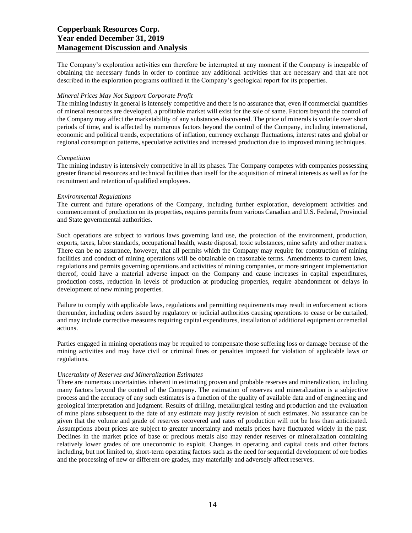The Company's exploration activities can therefore be interrupted at any moment if the Company is incapable of obtaining the necessary funds in order to continue any additional activities that are necessary and that are not described in the exploration programs outlined in the Company's geological report for its properties.

#### *Mineral Prices May Not Support Corporate Profit*

The mining industry in general is intensely competitive and there is no assurance that, even if commercial quantities of mineral resources are developed, a profitable market will exist for the sale of same. Factors beyond the control of the Company may affect the marketability of any substances discovered. The price of minerals is volatile over short periods of time, and is affected by numerous factors beyond the control of the Company, including international, economic and political trends, expectations of inflation, currency exchange fluctuations, interest rates and global or regional consumption patterns, speculative activities and increased production due to improved mining techniques.

#### *Competition*

The mining industry is intensively competitive in all its phases. The Company competes with companies possessing greater financial resources and technical facilities than itself for the acquisition of mineral interests as well as for the recruitment and retention of qualified employees.

#### *Environmental Regulations*

The current and future operations of the Company, including further exploration, development activities and commencement of production on its properties, requires permits from various Canadian and U.S. Federal, Provincial and State governmental authorities.

Such operations are subject to various laws governing land use, the protection of the environment, production, exports, taxes, labor standards, occupational health, waste disposal, toxic substances, mine safety and other matters. There can be no assurance, however, that all permits which the Company may require for construction of mining facilities and conduct of mining operations will be obtainable on reasonable terms. Amendments to current laws, regulations and permits governing operations and activities of mining companies, or more stringent implementation thereof, could have a material adverse impact on the Company and cause increases in capital expenditures, production costs, reduction in levels of production at producing properties, require abandonment or delays in development of new mining properties.

Failure to comply with applicable laws, regulations and permitting requirements may result in enforcement actions thereunder, including orders issued by regulatory or judicial authorities causing operations to cease or be curtailed, and may include corrective measures requiring capital expenditures, installation of additional equipment or remedial actions.

Parties engaged in mining operations may be required to compensate those suffering loss or damage because of the mining activities and may have civil or criminal fines or penalties imposed for violation of applicable laws or regulations.

#### *Uncertainty of Reserves and Mineralization Estimates*

There are numerous uncertainties inherent in estimating proven and probable reserves and mineralization, including many factors beyond the control of the Company. The estimation of reserves and mineralization is a subjective process and the accuracy of any such estimates is a function of the quality of available data and of engineering and geological interpretation and judgment. Results of drilling, metallurgical testing and production and the evaluation of mine plans subsequent to the date of any estimate may justify revision of such estimates. No assurance can be given that the volume and grade of reserves recovered and rates of production will not be less than anticipated. Assumptions about prices are subject to greater uncertainty and metals prices have fluctuated widely in the past. Declines in the market price of base or precious metals also may render reserves or mineralization containing relatively lower grades of ore uneconomic to exploit. Changes in operating and capital costs and other factors including, but not limited to, short-term operating factors such as the need for sequential development of ore bodies and the processing of new or different ore grades, may materially and adversely affect reserves.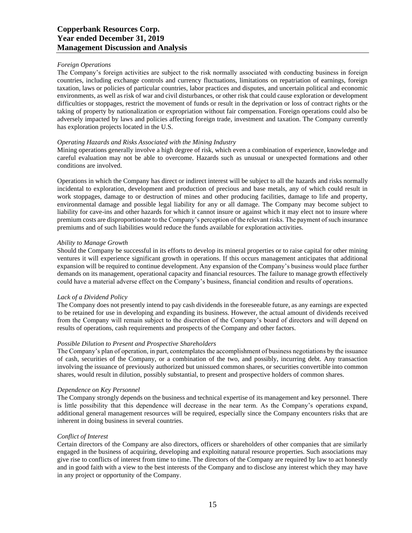## *Foreign Operations*

The Company's foreign activities are subject to the risk normally associated with conducting business in foreign countries, including exchange controls and currency fluctuations, limitations on repatriation of earnings, foreign taxation, laws or policies of particular countries, labor practices and disputes, and uncertain political and economic environments, as well as risk of war and civil disturbances, or other risk that could cause exploration or development difficulties or stoppages, restrict the movement of funds or result in the deprivation or loss of contract rights or the taking of property by nationalization or expropriation without fair compensation. Foreign operations could also be adversely impacted by laws and policies affecting foreign trade, investment and taxation. The Company currently has exploration projects located in the U.S.

## *Operating Hazards and Risks Associated with the Mining Industry*

Mining operations generally involve a high degree of risk, which even a combination of experience, knowledge and careful evaluation may not be able to overcome. Hazards such as unusual or unexpected formations and other conditions are involved.

Operations in which the Company has direct or indirect interest will be subject to all the hazards and risks normally incidental to exploration, development and production of precious and base metals, any of which could result in work stoppages, damage to or destruction of mines and other producing facilities, damage to life and property, environmental damage and possible legal liability for any or all damage. The Company may become subject to liability for cave-ins and other hazards for which it cannot insure or against which it may elect not to insure where premium costs are disproportionate to the Company's perception of the relevant risks. The payment of such insurance premiums and of such liabilities would reduce the funds available for exploration activities.

## *Ability to Manage Growth*

Should the Company be successful in its efforts to develop its mineral properties or to raise capital for other mining ventures it will experience significant growth in operations. If this occurs management anticipates that additional expansion will be required to continue development. Any expansion of the Company's business would place further demands on its management, operational capacity and financial resources. The failure to manage growth effectively could have a material adverse effect on the Company's business, financial condition and results of operations.

# *Lack of a Dividend Policy*

The Company does not presently intend to pay cash dividends in the foreseeable future, as any earnings are expected to be retained for use in developing and expanding its business. However, the actual amount of dividends received from the Company will remain subject to the discretion of the Company's board of directors and will depend on results of operations, cash requirements and prospects of the Company and other factors.

# *Possible Dilution to Present and Prospective Shareholders*

The Company's plan of operation, in part, contemplates the accomplishment of business negotiations by the issuance of cash, securities of the Company, or a combination of the two, and possibly, incurring debt. Any transaction involving the issuance of previously authorized but unissued common shares, or securities convertible into common shares, would result in dilution, possibly substantial, to present and prospective holders of common shares.

# *Dependence on Key Personnel*

The Company strongly depends on the business and technical expertise of its management and key personnel. There is little possibility that this dependence will decrease in the near term. As the Company's operations expand, additional general management resources will be required, especially since the Company encounters risks that are inherent in doing business in several countries.

# *Conflict of Interest*

Certain directors of the Company are also directors, officers or shareholders of other companies that are similarly engaged in the business of acquiring, developing and exploiting natural resource properties. Such associations may give rise to conflicts of interest from time to time. The directors of the Company are required by law to act honestly and in good faith with a view to the best interests of the Company and to disclose any interest which they may have in any project or opportunity of the Company.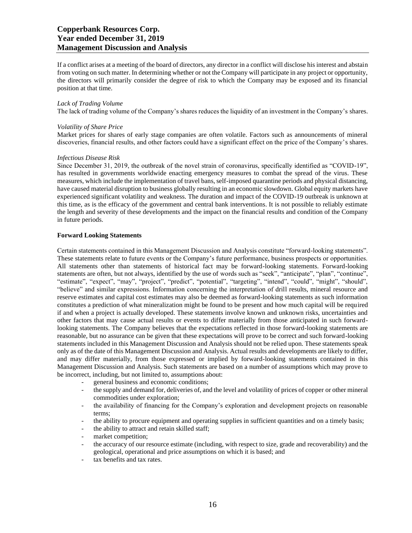If a conflict arises at a meeting of the board of directors, any director in a conflict will disclose his interest and abstain from voting on such matter. In determining whether or not the Company will participate in any project or opportunity, the directors will primarily consider the degree of risk to which the Company may be exposed and its financial position at that time.

#### *Lack of Trading Volume*

The lack of trading volume of the Company's shares reduces the liquidity of an investment in the Company's shares.

#### *Volatility of Share Price*

Market prices for shares of early stage companies are often volatile. Factors such as announcements of mineral discoveries, financial results, and other factors could have a significant effect on the price of the Company's shares.

#### *Infectious Disease Risk*

Since December 31, 2019, the outbreak of the novel strain of coronavirus, specifically identified as "COVID-19", has resulted in governments worldwide enacting emergency measures to combat the spread of the virus. These measures, which include the implementation of travel bans, self-imposed quarantine periods and physical distancing, have caused material disruption to business globally resulting in an economic slowdown. Global equity markets have experienced significant volatility and weakness. The duration and impact of the COVID-19 outbreak is unknown at this time, as is the efficacy of the government and central bank interventions. It is not possible to reliably estimate the length and severity of these developments and the impact on the financial results and condition of the Company in future periods.

#### **Forward Looking Statements**

Certain statements contained in this Management Discussion and Analysis constitute "forward-looking statements". These statements relate to future events or the Company's future performance, business prospects or opportunities. All statements other than statements of historical fact may be forward-looking statements. Forward-looking statements are often, but not always, identified by the use of words such as "seek", "anticipate", "plan", "continue", "estimate", "expect", "may", "project", "predict", "potential", "targeting", "intend", "could", "might", "should", "believe" and similar expressions. Information concerning the interpretation of drill results, mineral resource and reserve estimates and capital cost estimates may also be deemed as forward-looking statements as such information constitutes a prediction of what mineralization might be found to be present and how much capital will be required if and when a project is actually developed. These statements involve known and unknown risks, uncertainties and other factors that may cause actual results or events to differ materially from those anticipated in such forwardlooking statements. The Company believes that the expectations reflected in those forward-looking statements are reasonable, but no assurance can be given that these expectations will prove to be correct and such forward-looking statements included in this Management Discussion and Analysis should not be relied upon. These statements speak only as of the date of this Management Discussion and Analysis. Actual results and developments are likely to differ, and may differ materially, from those expressed or implied by forward-looking statements contained in this Management Discussion and Analysis. Such statements are based on a number of assumptions which may prove to be incorrect, including, but not limited to, assumptions about:

- general business and economic conditions;
- the supply and demand for, deliveries of, and the level and volatility of prices of copper or other mineral commodities under exploration;
- the availability of financing for the Company's exploration and development projects on reasonable terms;
- the ability to procure equipment and operating supplies in sufficient quantities and on a timely basis;
- the ability to attract and retain skilled staff;
- market competition;
- the accuracy of our resource estimate (including, with respect to size, grade and recoverability) and the geological, operational and price assumptions on which it is based; and
- tax benefits and tax rates.